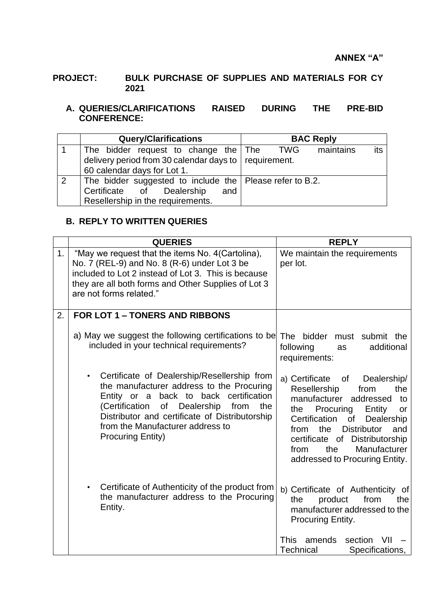## **PROJECT: BULK PURCHASE OF SUPPLIES AND MATERIALS FOR CY 2021**

## **A. QUERIES/CLARIFICATIONS RAISED DURING THE PRE-BID CONFERENCE:**

|                | <b>Query/Clarifications</b>                                      | <b>BAC Reply</b>        |
|----------------|------------------------------------------------------------------|-------------------------|
|                | The bidder request to change the The                             | maintains<br>TWG<br>its |
|                | delivery period from 30 calendar days to $\vert$ requirement.    |                         |
|                | 60 calendar days for Lot 1.                                      |                         |
| $\overline{2}$ | The bidder suggested to include the $\vert$ Please refer to B.2. |                         |
|                | Certificate of Dealership<br>and                                 |                         |
|                | Resellership in the requirements.                                |                         |

## **B. REPLY TO WRITTEN QUERIES**

|    | <b>QUERIES</b>                                                                                                                                                                                                                                                                                                      | <b>REPLY</b>                                                                                                                                                                                                                                                                                                            |
|----|---------------------------------------------------------------------------------------------------------------------------------------------------------------------------------------------------------------------------------------------------------------------------------------------------------------------|-------------------------------------------------------------------------------------------------------------------------------------------------------------------------------------------------------------------------------------------------------------------------------------------------------------------------|
| 1. | "May we request that the items No. 4(Cartolina),<br>No. 7 (REL-9) and No. 8 (R-6) under Lot 3 be<br>included to Lot 2 instead of Lot 3. This is because<br>they are all both forms and Other Supplies of Lot 3<br>are not forms related."                                                                           | We maintain the requirements<br>per lot.                                                                                                                                                                                                                                                                                |
| 2. | <b>FOR LOT 1 - TONERS AND RIBBONS</b>                                                                                                                                                                                                                                                                               |                                                                                                                                                                                                                                                                                                                         |
|    | a) May we suggest the following certifications to be<br>included in your technical requirements?                                                                                                                                                                                                                    | The bidder<br>must submit the<br>following<br>additional<br>as<br>requirements:                                                                                                                                                                                                                                         |
|    | Certificate of Dealership/Resellership from<br>$\bullet$<br>the manufacturer address to the Procuring<br>Entity or a back to back certification<br>of Dealership<br>(Certification<br>from<br>the<br>Distributor and certificate of Distributorship<br>from the Manufacturer address to<br><b>Procuring Entity)</b> | a) Certificate of<br>Dealership/<br>Resellership<br>from<br>the<br>manufacturer addressed<br>to<br>Procuring<br>Entity<br>the<br>or<br>Certification<br>of<br>Dealership<br>the<br><b>Distributor</b><br>from<br>and<br>certificate of Distributorship<br>the<br>Manufacturer<br>from<br>addressed to Procuring Entity. |
|    | Certificate of Authenticity of the product from<br>$\bullet$<br>the manufacturer address to the Procuring<br>Entity.                                                                                                                                                                                                | b) Certificate of Authenticity of<br>from<br>product<br>the<br>the<br>manufacturer addressed to the<br>Procuring Entity.                                                                                                                                                                                                |
|    |                                                                                                                                                                                                                                                                                                                     | This<br>amends<br>section<br>VII<br>Specifications,<br>Technical                                                                                                                                                                                                                                                        |